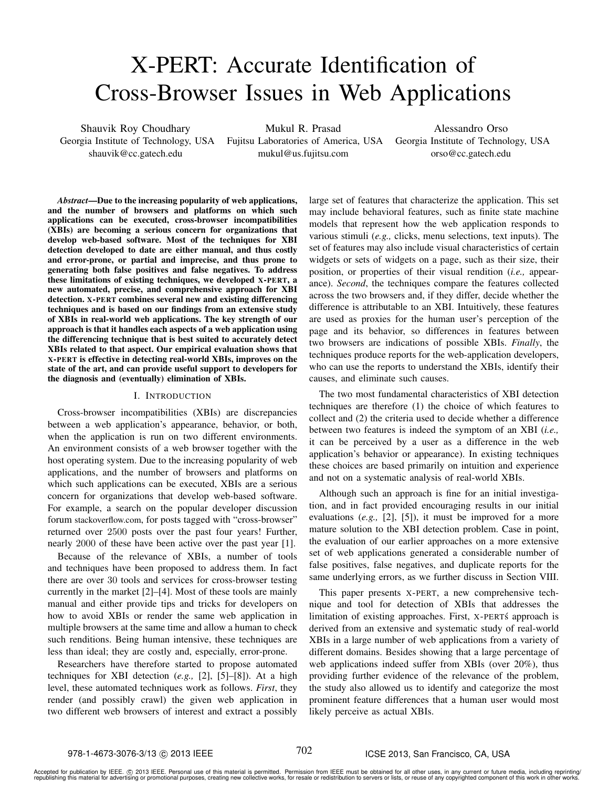# X-PERT: Accurate Identification of Cross-Browser Issues in Web Applications

Shauvik Roy Choudhary Georgia Institute of Technology, USA shauvik@cc.gatech.edu

Mukul R. Prasad mukul@us.fujitsu.com

Fujitsu Laboratories of America, USA Georgia Institute of Technology, USA Alessandro Orso orso@cc.gatech.edu

*Abstract*—Due to the increasing popularity of web applications, and the number of browsers and platforms on which such applications can be executed, cross-browser incompatibilities (XBIs) are becoming a serious concern for organizations that develop web-based software. Most of the techniques for XBI detection developed to date are either manual, and thus costly and error-prone, or partial and imprecise, and thus prone to generating both false positives and false negatives. To address these limitations of existing techniques, we developed X-PERT, a new automated, precise, and comprehensive approach for XBI detection. X-PERT combines several new and existing differencing techniques and is based on our findings from an extensive study of XBIs in real-world web applications. The key strength of our approach is that it handles each aspects of a web application using the differencing technique that is best suited to accurately detect XBIs related to that aspect. Our empirical evaluation shows that X-PERT is effective in detecting real-world XBIs, improves on the state of the art, and can provide useful support to developers for the diagnosis and (eventually) elimination of XBIs.

# I. INTRODUCTION

Cross-browser incompatibilities (XBIs) are discrepancies between a web application's appearance, behavior, or both, when the application is run on two different environments. An environment consists of a web browser together with the host operating system. Due to the increasing popularity of web applications, and the number of browsers and platforms on which such applications can be executed, XBIs are a serious concern for organizations that develop web-based software. For example, a search on the popular developer discussion forum stackoverflow.com, for posts tagged with "cross-browser" returned over 2500 posts over the past four years! Further, nearly 2000 of these have been active over the past year [1].

Because of the relevance of XBIs, a number of tools and techniques have been proposed to address them. In fact there are over 30 tools and services for cross-browser testing currently in the market [2]–[4]. Most of these tools are mainly manual and either provide tips and tricks for developers on how to avoid XBIs or render the same web application in multiple browsers at the same time and allow a human to check such renditions. Being human intensive, these techniques are less than ideal; they are costly and, especially, error-prone.

Researchers have therefore started to propose automated techniques for XBI detection (*e.g.,* [2], [5]–[8]). At a high level, these automated techniques work as follows. *First*, they render (and possibly crawl) the given web application in two different web browsers of interest and extract a possibly

large set of features that characterize the application. This set may include behavioral features, such as finite state machine models that represent how the web application responds to various stimuli (*e.g.,* clicks, menu selections, text inputs). The set of features may also include visual characteristics of certain widgets or sets of widgets on a page, such as their size, their position, or properties of their visual rendition (*i.e.,* appearance). *Second*, the techniques compare the features collected across the two browsers and, if they differ, decide whether the difference is attributable to an XBI. Intuitively, these features are used as proxies for the human user's perception of the page and its behavior, so differences in features between two browsers are indications of possible XBIs. *Finally*, the techniques produce reports for the web-application developers, who can use the reports to understand the XBIs, identify their causes, and eliminate such causes.

The two most fundamental characteristics of XBI detection techniques are therefore (1) the choice of which features to collect and (2) the criteria used to decide whether a difference between two features is indeed the symptom of an XBI (*i.e.,* it can be perceived by a user as a difference in the web application's behavior or appearance). In existing techniques these choices are based primarily on intuition and experience and not on a systematic analysis of real-world XBIs.

Although such an approach is fine for an initial investigation, and in fact provided encouraging results in our initial evaluations (*e.g.,* [2], [5]), it must be improved for a more mature solution to the XBI detection problem. Case in point, the evaluation of our earlier approaches on a more extensive set of web applications generated a considerable number of false positives, false negatives, and duplicate reports for the same underlying errors, as we further discuss in Section VIII.

This paper presents X-PERT, a new comprehensive technique and tool for detection of XBIs that addresses the limitation of existing approaches. First, X-PERTs approach is derived from an extensive and systematic study of real-world XBIs in a large number of web applications from a variety of different domains. Besides showing that a large percentage of web applications indeed suffer from XBIs (over 20%), thus providing further evidence of the relevance of the problem, the study also allowed us to identify and categorize the most prominent feature differences that a human user would most likely perceive as actual XBIs.

Accepted for publication by IEEE. ⓒ 2013 IEEE. Personal use of this material is permitted. Permission from IEEE must be obtained for all other uses, in any current or future media, including reprinting/<br>republishing this m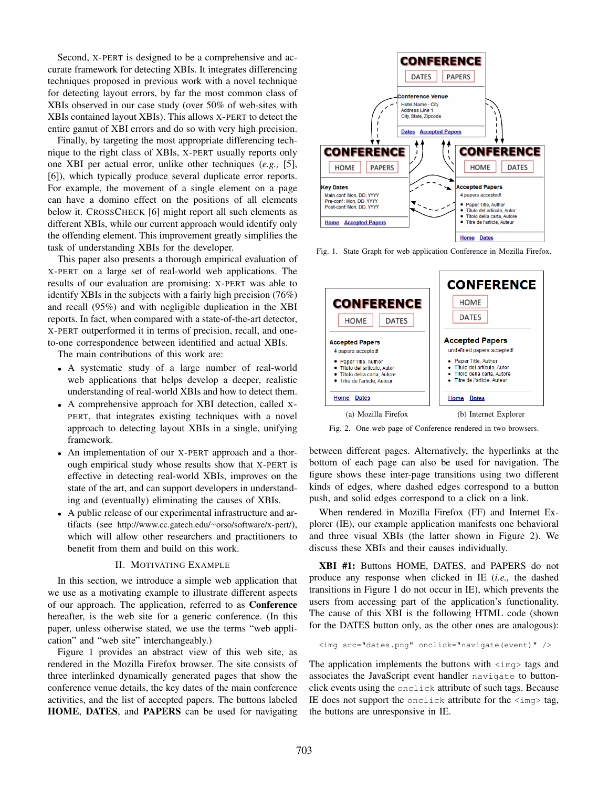Second, X-PERT is designed to be a comprehensive and accurate framework for detecting XBIs. It integrates differencing techniques proposed in previous work with a novel technique for detecting layout errors, by far the most common class of XBIs observed in our case study (over 50% of web-sites with XBIs contained layout XBIs). This allows X-PERT to detect the entire gamut of XBI errors and do so with very high precision.

Finally, by targeting the most appropriate differencing technique to the right class of XBIs, X-PERT usually reports only one XBI per actual error, unlike other techniques (*e.g.,* [5], [6]), which typically produce several duplicate error reports. For example, the movement of a single element on a page can have a domino effect on the positions of all elements below it. CROSSCHECK [6] might report all such elements as different XBIs, while our current approach would identify only the offending element. This improvement greatly simplifies the task of understanding XBIs for the developer.

This paper also presents a thorough empirical evaluation of X-PERT on a large set of real-world web applications. The results of our evaluation are promising: X-PERT was able to identify XBIs in the subjects with a fairly high precision (76%) and recall (95%) and with negligible duplication in the XBI reports. In fact, when compared with a state-of-the-art detector, X-PERT outperformed it in terms of precision, recall, and oneto-one correspondence between identified and actual XBIs.

The main contributions of this work are:

- A systematic study of a large number of real-world web applications that helps develop a deeper, realistic understanding of real-world XBIs and how to detect them.
- A comprehensive approach for XBI detection, called X-PERT, that integrates existing techniques with a novel approach to detecting layout XBIs in a single, unifying framework.
- An implementation of our X-PERT approach and a thorough empirical study whose results show that X-PERT is effective in detecting real-world XBIs, improves on the state of the art, and can support developers in understanding and (eventually) eliminating the causes of XBIs.
- A public release of our experimental infrastructure and artifacts (see http://www.cc.gatech.edu/∼orso/software/x-pert/), which will allow other researchers and practitioners to benefit from them and build on this work.

# II. MOTIVATING EXAMPLE

In this section, we introduce a simple web application that we use as a motivating example to illustrate different aspects of our approach. The application, referred to as Conference hereafter, is the web site for a generic conference. (In this paper, unless otherwise stated, we use the terms "web application" and "web site" interchangeably.)

Figure 1 provides an abstract view of this web site, as rendered in the Mozilla Firefox browser. The site consists of three interlinked dynamically generated pages that show the conference venue details, the key dates of the main conference activities, and the list of accepted papers. The buttons labeled HOME, DATES, and PAPERS can be used for navigating



Fig. 1. State Graph for web application Conference in Mozilla Firefox.



Fig. 2. One web page of Conference rendered in two browsers.

between different pages. Alternatively, the hyperlinks at the bottom of each page can also be used for navigation. The figure shows these inter-page transitions using two different kinds of edges, where dashed edges correspond to a button push, and solid edges correspond to a click on a link.

When rendered in Mozilla Firefox (FF) and Internet Explorer (IE), our example application manifests one behavioral and three visual XBIs (the latter shown in Figure 2). We discuss these XBIs and their causes individually.

XBI #1: Buttons HOME, DATES, and PAPERS do not produce any response when clicked in IE (*i.e.,* the dashed transitions in Figure 1 do not occur in IE), which prevents the users from accessing part of the application's functionality. The cause of this XBI is the following HTML code (shown for the DATES button only, as the other ones are analogous):

```
<img src="dates.png" onclick="navigate(event)" />
```
The application implements the buttons with  $\langle imq \rangle$  tags and associates the JavaScript event handler navigate to buttonclick events using the onclick attribute of such tags. Because IE does not support the onclick attribute for the  $\langle$ img> tag, the buttons are unresponsive in IE.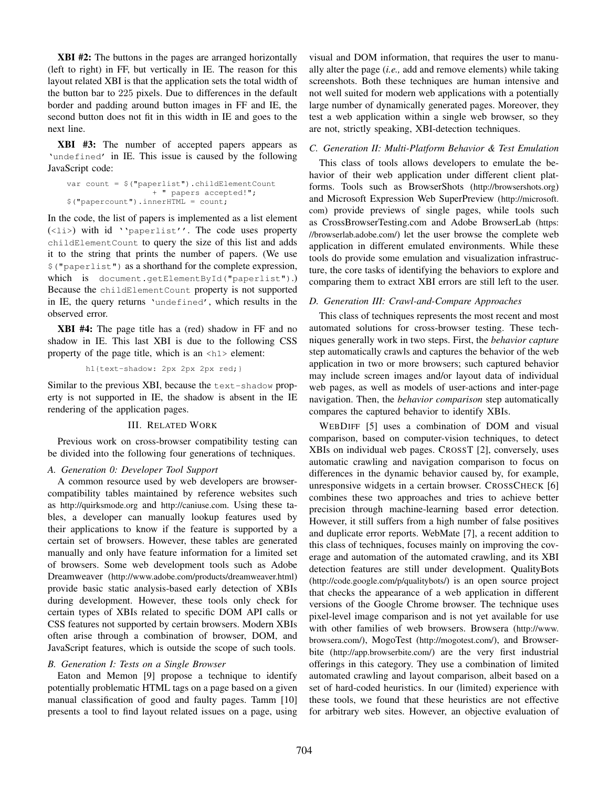XBI #2: The buttons in the pages are arranged horizontally (left to right) in FF, but vertically in IE. The reason for this layout related XBI is that the application sets the total width of the button bar to 225 pixels. Due to differences in the default border and padding around button images in FF and IE, the second button does not fit in this width in IE and goes to the next line.

XBI #3: The number of accepted papers appears as 'undefined' in IE. This issue is caused by the following JavaScript code:

```
var count = $("paperlist").childElementCount
                 + " papers accepted!";
$("papercount").innerHTML = count;
```
In the code, the list of papers is implemented as a list element (<li>) with id ''paperlist''. The code uses property childElementCount to query the size of this list and adds it to the string that prints the number of papers. (We use \$("paperlist") as a shorthand for the complete expression, which is document.getElementById("paperlist").) Because the childElementCount property is not supported in IE, the query returns 'undefined', which results in the observed error.

XBI #4: The page title has a (red) shadow in FF and no shadow in IE. This last XBI is due to the following CSS property of the page title, which is an  $\langle h1 \rangle$  element:

h1{text-shadow: 2px 2px 2px red;}

Similar to the previous XBI, because the text-shadow property is not supported in IE, the shadow is absent in the IE rendering of the application pages.

# III. RELATED WORK

Previous work on cross-browser compatibility testing can be divided into the following four generations of techniques.

# *A. Generation 0: Developer Tool Support*

A common resource used by web developers are browsercompatibility tables maintained by reference websites such as http://quirksmode.org and http://caniuse.com. Using these tables, a developer can manually lookup features used by their applications to know if the feature is supported by a certain set of browsers. However, these tables are generated manually and only have feature information for a limited set of browsers. Some web development tools such as Adobe Dreamweaver (http://www.adobe.com/products/dreamweaver.html) provide basic static analysis-based early detection of XBIs during development. However, these tools only check for certain types of XBIs related to specific DOM API calls or CSS features not supported by certain browsers. Modern XBIs often arise through a combination of browser, DOM, and JavaScript features, which is outside the scope of such tools.

# *B. Generation I: Tests on a Single Browser*

Eaton and Memon [9] propose a technique to identify potentially problematic HTML tags on a page based on a given manual classification of good and faulty pages. Tamm [10] presents a tool to find layout related issues on a page, using

visual and DOM information, that requires the user to manually alter the page (*i.e.,* add and remove elements) while taking screenshots. Both these techniques are human intensive and not well suited for modern web applications with a potentially large number of dynamically generated pages. Moreover, they test a web application within a single web browser, so they are not, strictly speaking, XBI-detection techniques.

# *C. Generation II: Multi-Platform Behavior & Test Emulation*

This class of tools allows developers to emulate the behavior of their web application under different client platforms. Tools such as BrowserShots (http://browsershots.org) and Microsoft Expression Web SuperPreview (http://microsoft. com) provide previews of single pages, while tools such as CrossBrowserTesting.com and Adobe BrowserLab (https: //browserlab.adobe.com/) let the user browse the complete web application in different emulated environments. While these tools do provide some emulation and visualization infrastructure, the core tasks of identifying the behaviors to explore and comparing them to extract XBI errors are still left to the user.

### *D. Generation III: Crawl-and-Compare Approaches*

This class of techniques represents the most recent and most automated solutions for cross-browser testing. These techniques generally work in two steps. First, the *behavior capture* step automatically crawls and captures the behavior of the web application in two or more browsers; such captured behavior may include screen images and/or layout data of individual web pages, as well as models of user-actions and inter-page navigation. Then, the *behavior comparison* step automatically compares the captured behavior to identify XBIs.

WEBDIFF [5] uses a combination of DOM and visual comparison, based on computer-vision techniques, to detect XBIs on individual web pages. CROSST [2], conversely, uses automatic crawling and navigation comparison to focus on differences in the dynamic behavior caused by, for example, unresponsive widgets in a certain browser. CROSSCHECK [6] combines these two approaches and tries to achieve better precision through machine-learning based error detection. However, it still suffers from a high number of false positives and duplicate error reports. WebMate [7], a recent addition to this class of techniques, focuses mainly on improving the coverage and automation of the automated crawling, and its XBI detection features are still under development. QualityBots (http://code.google.com/p/qualitybots/) is an open source project that checks the appearance of a web application in different versions of the Google Chrome browser. The technique uses pixel-level image comparison and is not yet available for use with other families of web browsers. Browsera (http://www. browsera.com/), MogoTest (http://mogotest.com/), and Browserbite (http://app.browserbite.com/) are the very first industrial offerings in this category. They use a combination of limited automated crawling and layout comparison, albeit based on a set of hard-coded heuristics. In our (limited) experience with these tools, we found that these heuristics are not effective for arbitrary web sites. However, an objective evaluation of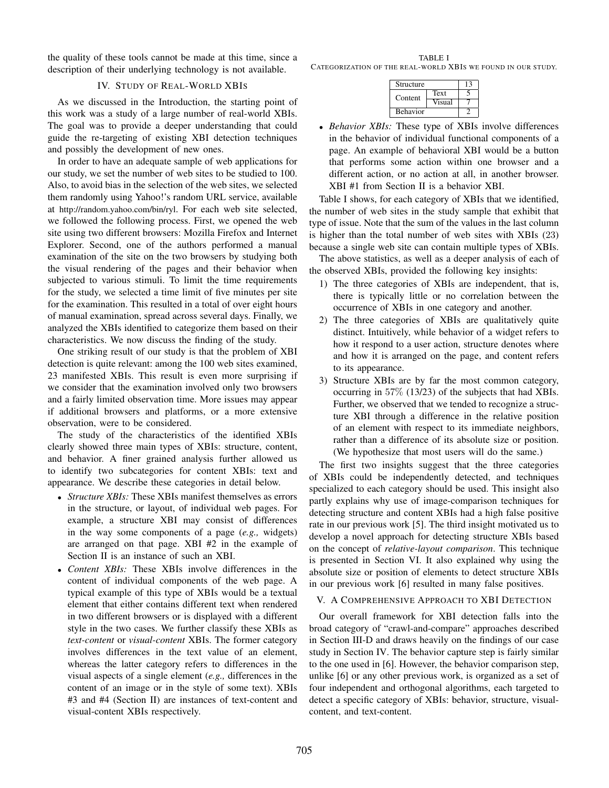the quality of these tools cannot be made at this time, since a description of their underlying technology is not available.

# IV. STUDY OF REAL-WORLD XBIS

As we discussed in the Introduction, the starting point of this work was a study of a large number of real-world XBIs. The goal was to provide a deeper understanding that could guide the re-targeting of existing XBI detection techniques and possibly the development of new ones.

In order to have an adequate sample of web applications for our study, we set the number of web sites to be studied to 100. Also, to avoid bias in the selection of the web sites, we selected them randomly using Yahoo!'s random URL service, available at http://random.yahoo.com/bin/ryl. For each web site selected, we followed the following process. First, we opened the web site using two different browsers: Mozilla Firefox and Internet Explorer. Second, one of the authors performed a manual examination of the site on the two browsers by studying both the visual rendering of the pages and their behavior when subjected to various stimuli. To limit the time requirements for the study, we selected a time limit of five minutes per site for the examination. This resulted in a total of over eight hours of manual examination, spread across several days. Finally, we analyzed the XBIs identified to categorize them based on their characteristics. We now discuss the finding of the study.

One striking result of our study is that the problem of XBI detection is quite relevant: among the 100 web sites examined, 23 manifested XBIs. This result is even more surprising if we consider that the examination involved only two browsers and a fairly limited observation time. More issues may appear if additional browsers and platforms, or a more extensive observation, were to be considered.

The study of the characteristics of the identified XBIs clearly showed three main types of XBIs: structure, content, and behavior. A finer grained analysis further allowed us to identify two subcategories for content XBIs: text and appearance. We describe these categories in detail below.

- *Structure XBIs:* These XBIs manifest themselves as errors in the structure, or layout, of individual web pages. For example, a structure XBI may consist of differences in the way some components of a page (*e.g.,* widgets) are arranged on that page. XBI #2 in the example of Section II is an instance of such an XBI.
- *Content XBIs:* These XBIs involve differences in the content of individual components of the web page. A typical example of this type of XBIs would be a textual element that either contains different text when rendered in two different browsers or is displayed with a different style in the two cases. We further classify these XBIs as *text-content* or *visual-content* XBIs. The former category involves differences in the text value of an element, whereas the latter category refers to differences in the visual aspects of a single element (*e.g.,* differences in the content of an image or in the style of some text). XBIs #3 and #4 (Section II) are instances of text-content and visual-content XBIs respectively.

TABLE I CATEGORIZATION OF THE REAL-WORLD XBIS WE FOUND IN OUR STUDY.

| Structure       |             |  |
|-----------------|-------------|--|
| Content         | <b>Text</b> |  |
|                 | Visual      |  |
| <b>Behavior</b> |             |  |

• *Behavior XBIs:* These type of XBIs involve differences in the behavior of individual functional components of a page. An example of behavioral XBI would be a button that performs some action within one browser and a different action, or no action at all, in another browser. XBI #1 from Section II is a behavior XBI.

Table I shows, for each category of XBIs that we identified, the number of web sites in the study sample that exhibit that type of issue. Note that the sum of the values in the last column is higher than the total number of web sites with XBIs (23) because a single web site can contain multiple types of XBIs.

The above statistics, as well as a deeper analysis of each of the observed XBIs, provided the following key insights:

- 1) The three categories of XBIs are independent, that is, there is typically little or no correlation between the occurrence of XBIs in one category and another.
- 2) The three categories of XBIs are qualitatively quite distinct. Intuitively, while behavior of a widget refers to how it respond to a user action, structure denotes where and how it is arranged on the page, and content refers to its appearance.
- 3) Structure XBIs are by far the most common category, occurring in 57% (13/23) of the subjects that had XBIs. Further, we observed that we tended to recognize a structure XBI through a difference in the relative position of an element with respect to its immediate neighbors, rather than a difference of its absolute size or position. (We hypothesize that most users will do the same.)

The first two insights suggest that the three categories of XBIs could be independently detected, and techniques specialized to each category should be used. This insight also partly explains why use of image-comparison techniques for detecting structure and content XBIs had a high false positive rate in our previous work [5]. The third insight motivated us to develop a novel approach for detecting structure XBIs based on the concept of *relative-layout comparison*. This technique is presented in Section VI. It also explained why using the absolute size or position of elements to detect structure XBIs in our previous work [6] resulted in many false positives.

# V. A COMPREHENSIVE APPROACH TO XBI DETECTION

Our overall framework for XBI detection falls into the broad category of "crawl-and-compare" approaches described in Section III-D and draws heavily on the findings of our case study in Section IV. The behavior capture step is fairly similar to the one used in [6]. However, the behavior comparison step, unlike [6] or any other previous work, is organized as a set of four independent and orthogonal algorithms, each targeted to detect a specific category of XBIs: behavior, structure, visualcontent, and text-content.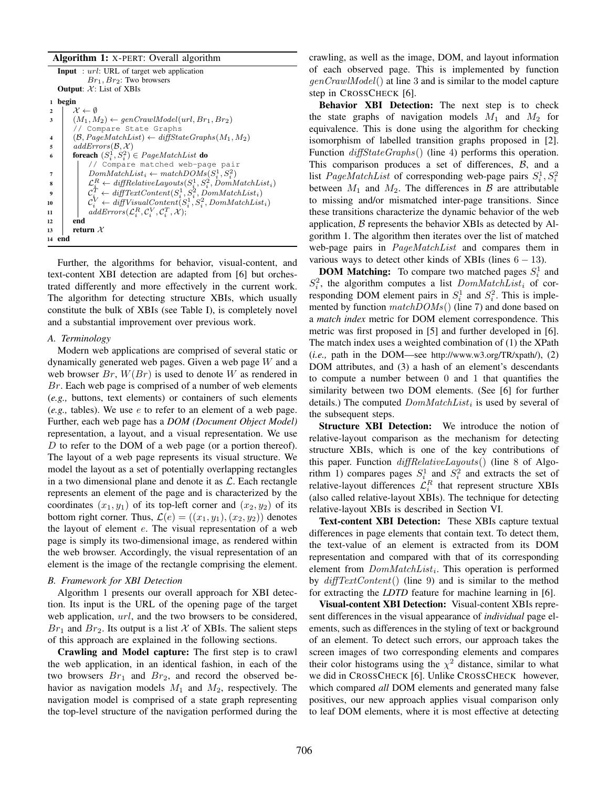# Algorithm 1: X-PERT: Overall algorithm

|                         | <b>Input</b> : $url$ : URL of target web application                                                                                                                                                                                                                                                                        |
|-------------------------|-----------------------------------------------------------------------------------------------------------------------------------------------------------------------------------------------------------------------------------------------------------------------------------------------------------------------------|
|                         | $Br_1, Br_2$ : Two browsers                                                                                                                                                                                                                                                                                                 |
|                         | <b>Output:</b> $\mathcal{X}$ : List of XBIs                                                                                                                                                                                                                                                                                 |
| $\mathbf{1}$            | begin                                                                                                                                                                                                                                                                                                                       |
| $\mathbf{2}$            | $\mathcal{X} \leftarrow \emptyset$                                                                                                                                                                                                                                                                                          |
| $\mathbf{a}$            | $(M_1, M_2) \leftarrow \text{genCrawlModel}(url, Br_1, Br_2)$                                                                                                                                                                                                                                                               |
|                         | // Compare State Graphs                                                                                                                                                                                                                                                                                                     |
| $\overline{\mathbf{4}}$ | $(\mathcal{B}, PageMatchList) \leftarrow diffStateGraphs(M_1, M_2)$                                                                                                                                                                                                                                                         |
| 5                       | $addErrors(\mathcal{B}, \mathcal{X})$                                                                                                                                                                                                                                                                                       |
| 6                       | foreach $(S_i^1, S_i^2) \in PageMatchList$ do                                                                                                                                                                                                                                                                               |
|                         | // Compare matched web-page pair                                                                                                                                                                                                                                                                                            |
| 7                       | $DomMatchList_i \leftarrow matchDOMs(S_i^1, S_i^2)$                                                                                                                                                                                                                                                                         |
| 8                       | $\begin{array}{l} \mathcal{L}_i^R \leftarrow \textit{diffRelativeLayouts}(S_i^1, S_i^2, \textit{DomMatchList}_i) \\ \mathcal{C}_i^T \leftarrow \textit{diffTextContent}(S_i^1, S_i^2, \textit{DomMatchList}_i) \\ \mathcal{C}_i^V \leftarrow \textit{diffVisualContent}(S_i^1, S_i^2, \textit{DomMatchList}_i) \end{array}$ |
| 9                       |                                                                                                                                                                                                                                                                                                                             |
| 10                      |                                                                                                                                                                                                                                                                                                                             |
| 11                      | $addErrors(\mathcal{L}_{i}^R, \mathcal{C}_{i}^V, \mathcal{C}_{i}^T, \mathcal{X});$                                                                                                                                                                                                                                          |
| 12                      | end                                                                                                                                                                                                                                                                                                                         |
| 13                      | return $\mathcal X$                                                                                                                                                                                                                                                                                                         |
| 14                      | end                                                                                                                                                                                                                                                                                                                         |

Further, the algorithms for behavior, visual-content, and text-content XBI detection are adapted from [6] but orchestrated differently and more effectively in the current work. The algorithm for detecting structure XBIs, which usually constitute the bulk of XBIs (see Table I), is completely novel and a substantial improvement over previous work.

# *A. Terminology*

Modern web applications are comprised of several static or dynamically generated web pages. Given a web page W and a web browser  $Br, W(Br)$  is used to denote W as rendered in  $Br$ . Each web page is comprised of a number of web elements (*e.g.,* buttons, text elements) or containers of such elements (*e.g.,* tables). We use e to refer to an element of a web page. Further, each web page has a *DOM (Document Object Model)* representation, a layout, and a visual representation. We use D to refer to the DOM of a web page (or a portion thereof). The layout of a web page represents its visual structure. We model the layout as a set of potentially overlapping rectangles in a two dimensional plane and denote it as  $\mathcal{L}$ . Each rectangle represents an element of the page and is characterized by the coordinates  $(x_1, y_1)$  of its top-left corner and  $(x_2, y_2)$  of its bottom right corner. Thus,  $\mathcal{L}(e) = ((x_1, y_1), (x_2, y_2))$  denotes the layout of element e. The visual representation of a web page is simply its two-dimensional image, as rendered within the web browser. Accordingly, the visual representation of an element is the image of the rectangle comprising the element.

# *B. Framework for XBI Detection*

Algorithm 1 presents our overall approach for XBI detection. Its input is the URL of the opening page of the target web application,  $url$ , and the two browsers to be considered,  $Br_1$  and  $Br_2$ . Its output is a list X of XBIs. The salient steps of this approach are explained in the following sections.

Crawling and Model capture: The first step is to crawl the web application, in an identical fashion, in each of the two browsers  $Br_1$  and  $Br_2$ , and record the observed behavior as navigation models  $M_1$  and  $M_2$ , respectively. The navigation model is comprised of a state graph representing the top-level structure of the navigation performed during the

crawling, as well as the image, DOM, and layout information of each observed page. This is implemented by function genCrawlModel() at line 3 and is similar to the model capture step in CROSSCHECK [6].

Behavior XBI Detection: The next step is to check the state graphs of navigation models  $M_1$  and  $M_2$  for equivalence. This is done using the algorithm for checking isomorphism of labelled transition graphs proposed in [2]. Function  $diffStateGraphs()$  (line 4) performs this operation. This comparison produces a set of differences, B, and a list *PageMatchList* of corresponding web-page pairs  $S_i^1, S_i^2$ between  $M_1$  and  $M_2$ . The differences in  $\beta$  are attributable to missing and/or mismatched inter-page transitions. Since these transitions characterize the dynamic behavior of the web application,  $\beta$  represents the behavior XBIs as detected by Algorithm 1. The algorithm then iterates over the list of matched web-page pairs in PageMatchList and compares them in various ways to detect other kinds of XBIs (lines  $6 - 13$ ).

**DOM Matching:** To compare two matched pages  $S_i^1$  and  $S_i^2$ , the algorithm computes a list  $DomMatchList_i$  of corresponding DOM element pairs in  $S_i^1$  and  $S_i^2$ . This is implemented by function  $matchDOMs()$  (line 7) and done based on a *match index* metric for DOM element correspondence. This metric was first proposed in [5] and further developed in [6]. The match index uses a weighted combination of (1) the XPath (*i.e.,* path in the DOM—see http://www.w3.org/TR/xpath/), (2) DOM attributes, and (3) a hash of an element's descendants to compute a number between 0 and 1 that quantifies the similarity between two DOM elements. (See [6] for further details.) The computed  $DomMatchList_i$  is used by several of the subsequent steps.

Structure XBI Detection: We introduce the notion of relative-layout comparison as the mechanism for detecting structure XBIs, which is one of the key contributions of this paper. Function  $diffRelative Layouts()$  (line 8 of Algorithm 1) compares pages  $S_i^1$  and  $S_i^2$  and extracts the set of relative-layout differences  $\mathcal{L}_i^R$  that represent structure XBIs (also called relative-layout XBIs). The technique for detecting relative-layout XBIs is described in Section VI.

Text-content XBI Detection: These XBIs capture textual differences in page elements that contain text. To detect them, the text-value of an element is extracted from its DOM representation and compared with that of its corresponding element from  $DomMatchList_i$ . This operation is performed by  $diffTextContent()$  (line 9) and is similar to the method for extracting the *LDTD* feature for machine learning in [6].

Visual-content XBI Detection: Visual-content XBIs represent differences in the visual appearance of *individual* page elements, such as differences in the styling of text or background of an element. To detect such errors, our approach takes the screen images of two corresponding elements and compares their color histograms using the  $\chi^2$  distance, similar to what we did in CROSSCHECK [6]. Unlike CROSSCHECK however, which compared *all* DOM elements and generated many false positives, our new approach applies visual comparison only to leaf DOM elements, where it is most effective at detecting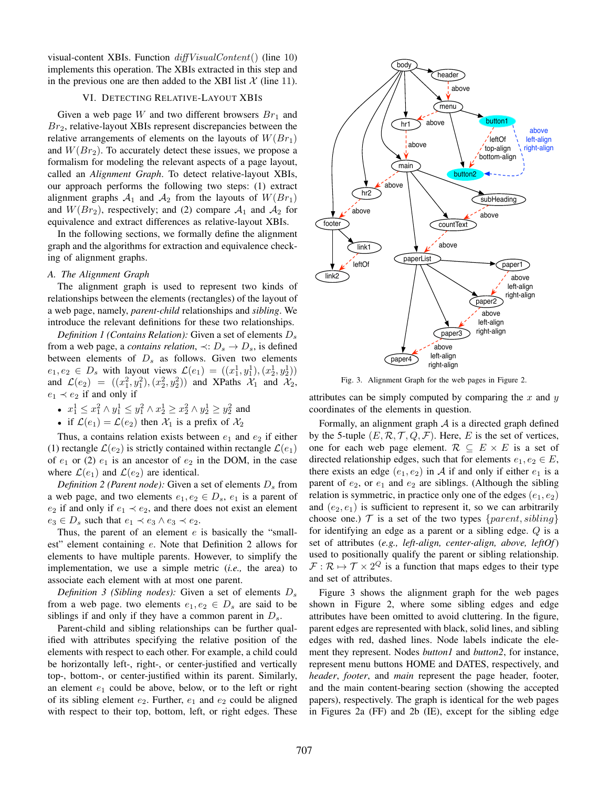visual-content XBIs. Function diffVisualContent() (line 10) implements this operation. The XBIs extracted in this step and in the previous one are then added to the XBI list  $\mathcal X$  (line 11).

# VI. DETECTING RELATIVE-LAYOUT XBIS

Given a web page W and two different browsers  $Br<sub>1</sub>$  and  $Br<sub>2</sub>$ , relative-layout XBIs represent discrepancies between the relative arrangements of elements on the layouts of  $W(Br_1)$ and  $W(Br<sub>2</sub>)$ . To accurately detect these issues, we propose a formalism for modeling the relevant aspects of a page layout, called an *Alignment Graph*. To detect relative-layout XBIs, our approach performs the following two steps: (1) extract alignment graphs  $A_1$  and  $A_2$  from the layouts of  $W(Br_1)$ and  $W(Br_2)$ , respectively; and (2) compare  $A_1$  and  $A_2$  for equivalence and extract differences as relative-layout XBIs.

In the following sections, we formally define the alignment graph and the algorithms for extraction and equivalence checking of alignment graphs.

# *A. The Alignment Graph*

The alignment graph is used to represent two kinds of relationships between the elements (rectangles) of the layout of a web page, namely, *parent-child* relationships and *sibling*. We introduce the relevant definitions for these two relationships.

*Definition 1 (Contains Relation):* Given a set of elements  $D_s$ from a web page, a *contains relation*,  $\prec: D_s \to D_s$ , is defined between elements of  $D_s$  as follows. Given two elements  $e_1, e_2 \in D_s$  with layout views  $\mathcal{L}(e_1) = ((x_1^1, y_1^1), (x_2^1, y_2^1))$ and  $\mathcal{L}(e_2) = ((x_1^2, y_1^2), (x_2^2, y_2^2))$  and XPaths  $\mathcal{X}_1$  and  $\mathcal{X}_2$ ,  $e_1 \prec e_2$  if and only if

•  $x_1^1 \le x_1^2 \wedge y_1^1 \le y_1^2 \wedge x_2^1 \ge x_2^2 \wedge y_2^1 \ge y_2^2$  and

• if  $\mathcal{L}(e_1) = \mathcal{L}(e_2)$  then  $\mathcal{X}_1$  is a prefix of  $\mathcal{X}_2$ 

Thus, a contains relation exists between  $e_1$  and  $e_2$  if either (1) rectangle  $\mathcal{L}(e_2)$  is strictly contained within rectangle  $\mathcal{L}(e_1)$ of  $e_1$  or (2)  $e_1$  is an ancestor of  $e_2$  in the DOM, in the case where  $\mathcal{L}(e_1)$  and  $\mathcal{L}(e_2)$  are identical.

*Definition 2 (Parent node):* Given a set of elements  $D_s$  from a web page, and two elements  $e_1, e_2 \in D_s$ ,  $e_1$  is a parent of  $e_2$  if and only if  $e_1 \prec e_2$ , and there does not exist an element  $e_3 \in D_s$  such that  $e_1 \prec e_3 \land e_3 \prec e_2$ .

Thus, the parent of an element  $e$  is basically the "smallest" element containing e. Note that Definition 2 allows for elements to have multiple parents. However, to simplify the implementation, we use a simple metric (*i.e.,* the area) to associate each element with at most one parent.

*Definition 3 (Sibling nodes):* Given a set of elements  $D_s$ from a web page. two elements  $e_1, e_2 \in D_s$  are said to be siblings if and only if they have a common parent in  $D_s$ .

Parent-child and sibling relationships can be further qualified with attributes specifying the relative position of the elements with respect to each other. For example, a child could be horizontally left-, right-, or center-justified and vertically top-, bottom-, or center-justified within its parent. Similarly, an element  $e_1$  could be above, below, or to the left or right of its sibling element  $e_2$ . Further,  $e_1$  and  $e_2$  could be aligned with respect to their top, bottom, left, or right edges. These



Fig. 3. Alignment Graph for the web pages in Figure 2.

attributes can be simply computed by comparing the  $x$  and  $y$ coordinates of the elements in question.

Formally, an alignment graph  $A$  is a directed graph defined by the 5-tuple  $(E, \mathcal{R}, \mathcal{T}, Q, \mathcal{F})$ . Here, E is the set of vertices, one for each web page element.  $\mathcal{R} \subseteq E \times E$  is a set of directed relationship edges, such that for elements  $e_1, e_2 \in E$ , there exists an edge  $(e_1, e_2)$  in A if and only if either  $e_1$  is a parent of  $e_2$ , or  $e_1$  and  $e_2$  are siblings. (Although the sibling relation is symmetric, in practice only one of the edges  $(e_1, e_2)$ and  $(e_2, e_1)$  is sufficient to represent it, so we can arbitrarily choose one.)  $T$  is a set of the two types {*parent, sibling*} for identifying an edge as a parent or a sibling edge. Q is a set of attributes (*e.g., left-align, center-align, above, leftOf*) used to positionally qualify the parent or sibling relationship.  $\mathcal{F}: \mathcal{R} \mapsto \mathcal{T} \times 2^Q$  is a function that maps edges to their type and set of attributes.

Figure 3 shows the alignment graph for the web pages shown in Figure 2, where some sibling edges and edge attributes have been omitted to avoid cluttering. In the figure, parent edges are represented with black, solid lines, and sibling edges with red, dashed lines. Node labels indicate the element they represent. Nodes *button1* and *button2*, for instance, represent menu buttons HOME and DATES, respectively, and *header*, *footer*, and *main* represent the page header, footer, and the main content-bearing section (showing the accepted papers), respectively. The graph is identical for the web pages in Figures 2a (FF) and 2b (IE), except for the sibling edge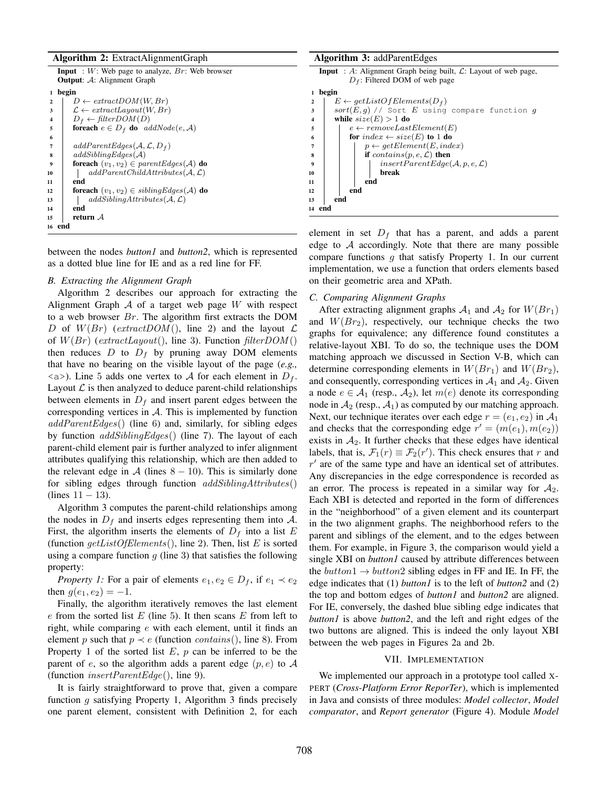#### Algorithm 2: ExtractAlignmentGraph

|                         | <b>Input</b> : W: Web page to analyze, $Br$ : Web browser           |
|-------------------------|---------------------------------------------------------------------|
|                         | <b>Output:</b> A: Alignment Graph                                   |
| 1                       | begin                                                               |
| 2                       | $D \leftarrow extractDOM(W, Br)$                                    |
| 3                       | $\mathcal{L} \leftarrow extractLayout(W, Br)$                       |
| $\overline{\mathbf{4}}$ | $D_f \leftarrow filterDOM(D)$                                       |
| 5                       | for each $e \in D_f$ do $addNode(e, A)$                             |
| 6                       |                                                                     |
| 7                       | $addParentEdges(\mathcal{A}, \mathcal{L}, D_f)$                     |
| 8                       | $addSiblingEdges(\mathcal{A})$                                      |
| 9                       | <b>foreach</b> $(v_1, v_2) \in parentEdges(\mathcal{A})$ <b>do</b>  |
| 10                      | $addParentChildAttributes (A, \mathcal{L})$                         |
| 11                      | end                                                                 |
| 12                      | <b>foreach</b> $(v_1, v_2) \in siblingEdges(\mathcal{A})$ <b>do</b> |
| 13                      | $addSiblingAttributes (A, \mathcal{L})$                             |
| 14                      | end                                                                 |
| 15                      | return $\mathcal A$                                                 |
| 16                      | end                                                                 |

between the nodes *button1* and *button2*, which is represented as a dotted blue line for IE and as a red line for FF.

# *B. Extracting the Alignment Graph*

Algorithm 2 describes our approach for extracting the Alignment Graph  $A$  of a target web page  $W$  with respect to a web browser Br. The algorithm first extracts the DOM D of  $W(Br)$  (extract DOM(), line 2) and the layout  $\mathcal L$ of  $W(Br)$  (extractLayout(), line 3). Function filter  $DOM()$ then reduces  $D$  to  $D_f$  by pruning away DOM elements that have no bearing on the visible layout of the page (*e.g.,*  $\langle a \rangle$ ). Line 5 adds one vertex to A for each element in  $D_f$ . Layout  $\mathcal L$  is then analyzed to deduce parent-child relationships between elements in  $D_f$  and insert parent edges between the corresponding vertices in A. This is implemented by function  $addParentEdges()$  (line 6) and, similarly, for sibling edges by function *addSiblingEdges*() (line 7). The layout of each parent-child element pair is further analyzed to infer alignment attributes qualifying this relationship, which are then added to the relevant edge in A (lines  $8 - 10$ ). This is similarly done for sibling edges through function  $addSiblingAttributes()$  $(lines 11 - 13)$ .

Algorithm 3 computes the parent-child relationships among the nodes in  $D_f$  and inserts edges representing them into A. First, the algorithm inserts the elements of  $D_f$  into a list E (function  $qetListOfElements()$ , line 2). Then, list E is sorted using a compare function  $q$  (line 3) that satisfies the following property:

*Property 1:* For a pair of elements  $e_1, e_2 \in D_f$ , if  $e_1 \prec e_2$ then  $g(e_1, e_2) = -1$ .

Finally, the algorithm iteratively removes the last element e from the sorted list  $E$  (line 5). It then scans  $E$  from left to right, while comparing  $e$  with each element, until it finds an element p such that  $p \prec e$  (function *contains*(), line 8). From Property 1 of the sorted list  $E$ ,  $p$  can be inferred to be the parent of e, so the algorithm adds a parent edge  $(p, e)$  to A (function *insertParentEdge*(), line 9).

It is fairly straightforward to prove that, given a compare function  $g$  satisfying Property 1, Algorithm 3 finds precisely one parent element, consistent with Definition 2, for each

| <b>Algorithm 3: addParentEdges</b>                                                 |                                                    |  |  |  |  |  |  |  |  |
|------------------------------------------------------------------------------------|----------------------------------------------------|--|--|--|--|--|--|--|--|
| <b>Input</b> : A: Alignment Graph being built, $\mathcal{L}$ : Layout of web page, |                                                    |  |  |  |  |  |  |  |  |
| $D_f$ : Filtered DOM of web page                                                   |                                                    |  |  |  |  |  |  |  |  |
| begin<br>1                                                                         |                                                    |  |  |  |  |  |  |  |  |
| $\mathbf{2}$                                                                       | $E \leftarrow getListOfElements(D_f)$              |  |  |  |  |  |  |  |  |
| 3                                                                                  | $sort(E, q)$ // Sort E using compare function q    |  |  |  |  |  |  |  |  |
| $\overline{\mathbf{4}}$                                                            | while $size(E) > 1$ do                             |  |  |  |  |  |  |  |  |
| 5                                                                                  | $e \leftarrow removeLastElement(E)$                |  |  |  |  |  |  |  |  |
| 6                                                                                  | for index $\leftarrow size(E)$ to 1 do             |  |  |  |  |  |  |  |  |
| 7                                                                                  | $p \leftarrow getElement(E, index)$                |  |  |  |  |  |  |  |  |
| 8                                                                                  | if $contains(p, e, \mathcal{L})$ then              |  |  |  |  |  |  |  |  |
| 9                                                                                  | $insertParentEdge(\mathcal{A}, p, e, \mathcal{L})$ |  |  |  |  |  |  |  |  |
| 10                                                                                 | break                                              |  |  |  |  |  |  |  |  |
| 11                                                                                 | end                                                |  |  |  |  |  |  |  |  |
| 12                                                                                 | end                                                |  |  |  |  |  |  |  |  |
| 13                                                                                 | end                                                |  |  |  |  |  |  |  |  |
| 14<br>end                                                                          |                                                    |  |  |  |  |  |  |  |  |

element in set  $D_f$  that has a parent, and adds a parent edge to  $A$  accordingly. Note that there are many possible compare functions  $g$  that satisfy Property 1. In our current implementation, we use a function that orders elements based on their geometric area and XPath.

# *C. Comparing Alignment Graphs*

After extracting alignment graphs  $A_1$  and  $A_2$  for  $W(Br_1)$ and  $W(Br_2)$ , respectively, our technique checks the two graphs for equivalence; any difference found constitutes a relative-layout XBI. To do so, the technique uses the DOM matching approach we discussed in Section V-B, which can determine corresponding elements in  $W(Br_1)$  and  $W(Br_2)$ , and consequently, corresponding vertices in  $A_1$  and  $A_2$ . Given a node  $e \in A_1$  (resp.,  $A_2$ ), let  $m(e)$  denote its corresponding node in  $A_2$  (resp.,  $A_1$ ) as computed by our matching approach. Next, our technique iterates over each edge  $r = (e_1, e_2)$  in  $\mathcal{A}_1$ and checks that the corresponding edge  $r' = (m(e_1), m(e_2))$ exists in  $A_2$ . It further checks that these edges have identical labels, that is,  $\mathcal{F}_1(r) \equiv \mathcal{F}_2(r')$ . This check ensures that r and  $r'$  are of the same type and have an identical set of attributes. Any discrepancies in the edge correspondence is recorded as an error. The process is repeated in a similar way for  $A_2$ . Each XBI is detected and reported in the form of differences in the "neighborhood" of a given element and its counterpart in the two alignment graphs. The neighborhood refers to the parent and siblings of the element, and to the edges between them. For example, in Figure 3, the comparison would yield a single XBI on *button1* caused by attribute differences between the button1  $\rightarrow$  button2 sibling edges in FF and IE. In FF, the edge indicates that (1) *button1* is to the left of *button2* and (2) the top and bottom edges of *button1* and *button2* are aligned. For IE, conversely, the dashed blue sibling edge indicates that *button1* is above *button2*, and the left and right edges of the two buttons are aligned. This is indeed the only layout XBI between the web pages in Figures 2a and 2b.

#### VII. IMPLEMENTATION

We implemented our approach in a prototype tool called X-PERT (*Cross-Platform Error ReporTer*), which is implemented in Java and consists of three modules: *Model collector*, *Model comparator*, and *Report generator* (Figure 4). Module *Model*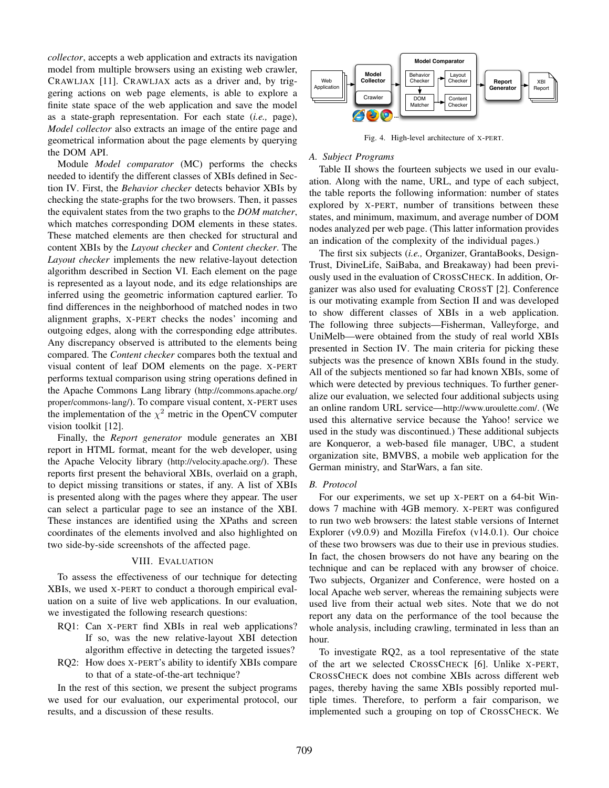*collector*, accepts a web application and extracts its navigation model from multiple browsers using an existing web crawler, CRAWLJAX [11]. CRAWLJAX acts as a driver and, by triggering actions on web page elements, is able to explore a finite state space of the web application and save the model as a state-graph representation. For each state (*i.e.,* page), *Model collector* also extracts an image of the entire page and geometrical information about the page elements by querying the DOM API.

Module *Model comparator* (MC) performs the checks needed to identify the different classes of XBIs defined in Section IV. First, the *Behavior checker* detects behavior XBIs by checking the state-graphs for the two browsers. Then, it passes the equivalent states from the two graphs to the *DOM matcher*, which matches corresponding DOM elements in these states. These matched elements are then checked for structural and content XBIs by the *Layout checker* and *Content checker*. The *Layout checker* implements the new relative-layout detection algorithm described in Section VI. Each element on the page is represented as a layout node, and its edge relationships are inferred using the geometric information captured earlier. To find differences in the neighborhood of matched nodes in two alignment graphs, X-PERT checks the nodes' incoming and outgoing edges, along with the corresponding edge attributes. Any discrepancy observed is attributed to the elements being compared. The *Content checker* compares both the textual and visual content of leaf DOM elements on the page. X-PERT performs textual comparison using string operations defined in the Apache Commons Lang library (http://commons.apache.org/ proper/commons-lang/). To compare visual content, X-PERT uses the implementation of the  $\chi^2$  metric in the OpenCV computer vision toolkit [12].

Finally, the *Report generator* module generates an XBI report in HTML format, meant for the web developer, using the Apache Velocity library (http://velocity.apache.org/). These reports first present the behavioral XBIs, overlaid on a graph, to depict missing transitions or states, if any. A list of XBIs is presented along with the pages where they appear. The user can select a particular page to see an instance of the XBI. These instances are identified using the XPaths and screen coordinates of the elements involved and also highlighted on two side-by-side screenshots of the affected page.

# VIII. EVALUATION

To assess the effectiveness of our technique for detecting XBIs, we used X-PERT to conduct a thorough empirical evaluation on a suite of live web applications. In our evaluation, we investigated the following research questions:

- RQ1: Can X-PERT find XBIs in real web applications? If so, was the new relative-layout XBI detection algorithm effective in detecting the targeted issues?
- RQ2: How does X-PERT's ability to identify XBIs compare to that of a state-of-the-art technique?

In the rest of this section, we present the subject programs we used for our evaluation, our experimental protocol, our results, and a discussion of these results.



Fig. 4. High-level architecture of X-PERT.

# *A. Subject Programs*

Table II shows the fourteen subjects we used in our evaluation. Along with the name, URL, and type of each subject, the table reports the following information: number of states explored by X-PERT, number of transitions between these states, and minimum, maximum, and average number of DOM nodes analyzed per web page. (This latter information provides an indication of the complexity of the individual pages.)

The first six subjects (*i.e.,* Organizer, GrantaBooks, Design-Trust, DivineLife, SaiBaba, and Breakaway) had been previously used in the evaluation of CROSSCHECK. In addition, Organizer was also used for evaluating CROSST [2]. Conference is our motivating example from Section II and was developed to show different classes of XBIs in a web application. The following three subjects—Fisherman, Valleyforge, and UniMelb—were obtained from the study of real world XBIs presented in Section IV. The main criteria for picking these subjects was the presence of known XBIs found in the study. All of the subjects mentioned so far had known XBIs, some of which were detected by previous techniques. To further generalize our evaluation, we selected four additional subjects using an online random URL service—http://www.uroulette.com/. (We used this alternative service because the Yahoo! service we used in the study was discontinued.) These additional subjects are Konqueror, a web-based file manager, UBC, a student organization site, BMVBS, a mobile web application for the German ministry, and StarWars, a fan site.

#### *B. Protocol*

For our experiments, we set up X-PERT on a 64-bit Windows 7 machine with 4GB memory. X-PERT was configured to run two web browsers: the latest stable versions of Internet Explorer (v9.0.9) and Mozilla Firefox (v14.0.1). Our choice of these two browsers was due to their use in previous studies. In fact, the chosen browsers do not have any bearing on the technique and can be replaced with any browser of choice. Two subjects, Organizer and Conference, were hosted on a local Apache web server, whereas the remaining subjects were used live from their actual web sites. Note that we do not report any data on the performance of the tool because the whole analysis, including crawling, terminated in less than an hour.

To investigate RQ2, as a tool representative of the state of the art we selected CROSSCHECK [6]. Unlike X-PERT, CROSSCHECK does not combine XBIs across different web pages, thereby having the same XBIs possibly reported multiple times. Therefore, to perform a fair comparison, we implemented such a grouping on top of CROSSCHECK. We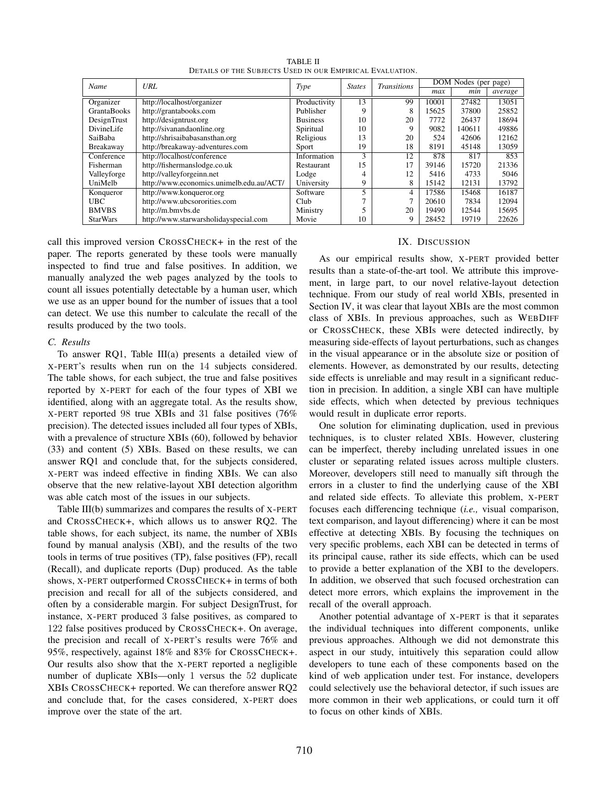| <b>Name</b>        | URL                                      | Type            | <b>States</b> | <b>Transitions</b> | DOM Nodes (per page) |        |         |  |
|--------------------|------------------------------------------|-----------------|---------------|--------------------|----------------------|--------|---------|--|
|                    |                                          |                 |               |                    | max                  | min    | average |  |
| Organizer          | http://localhost/organizer               | Productivity    | 13            | 99                 | 10001                | 27482  | 13051   |  |
| <b>GrantaBooks</b> | http://grantabooks.com                   | Publisher       | Q             | 8                  | 15625                | 37800  | 25852   |  |
| DesignTrust        | http://designtrust.org                   | <b>Business</b> | 10            | 20                 | 7772                 | 26437  | 18694   |  |
| DivineLife         | http://sivanandaonline.org               | Spiritual       | 10            | 9                  | 9082                 | 140611 | 49886   |  |
| SaiBaba            | http://shrisaibabasansthan.org           | Religious       | 13            | 20                 | 524                  | 42606  | 12162   |  |
| <b>Breakaway</b>   | http://breakaway-adventures.com          | Sport           | 19            | 18                 | 8191                 | 45148  | 13059   |  |
| Conference         | http://localhost/conference              | Information     | 3             | 12                 | 878                  | 817    | 853     |  |
| Fisherman          | http://fishermanslodge.co.uk             | Restaurant      | 15            | 17                 | 39146                | 15720  | 21336   |  |
| Valleyforge        | http://valleyforgeinn.net                | Lodge           | 4             | 12                 | 5416                 | 4733   | 5046    |  |
| UniMelb            | http://www.economics.unimelb.edu.au/ACT/ | University      | 9             | 8                  | 15142                | 12131  | 13792   |  |
| Konqueror          | http://www.konqueror.org                 | Software        | 5             | $\overline{4}$     | 17586                | 15468  | 16187   |  |
| UBC                | http://www.ubcsororities.com             | Club            |               |                    | 20610                | 7834   | 12094   |  |
| <b>BMVBS</b>       | http://m.bmvbs.de                        | Ministry        |               | 20                 | 19490                | 12544  | 15695   |  |
| <b>StarWars</b>    | http://www.starwarsholidayspecial.com    | Movie           | 10            | 9                  | 28452                | 19719  | 22626   |  |

TABLE II DETAILS OF THE SUBJECTS USED IN OUR EMPIRICAL EVALUATION.

call this improved version CROSSCHECK+ in the rest of the paper. The reports generated by these tools were manually inspected to find true and false positives. In addition, we manually analyzed the web pages analyzed by the tools to count all issues potentially detectable by a human user, which we use as an upper bound for the number of issues that a tool can detect. We use this number to calculate the recall of the results produced by the two tools.

# *C. Results*

To answer RQ1, Table III(a) presents a detailed view of X-PERT's results when run on the 14 subjects considered. The table shows, for each subject, the true and false positives reported by X-PERT for each of the four types of XBI we identified, along with an aggregate total. As the results show, X-PERT reported 98 true XBIs and 31 false positives (76% precision). The detected issues included all four types of XBIs, with a prevalence of structure XBIs (60), followed by behavior (33) and content (5) XBIs. Based on these results, we can answer RQ1 and conclude that, for the subjects considered, X-PERT was indeed effective in finding XBIs. We can also observe that the new relative-layout XBI detection algorithm was able catch most of the issues in our subjects.

Table III(b) summarizes and compares the results of X-PERT and CROSSCHECK+, which allows us to answer RQ2. The table shows, for each subject, its name, the number of XBIs found by manual analysis (XBI), and the results of the two tools in terms of true positives (TP), false positives (FP), recall (Recall), and duplicate reports (Dup) produced. As the table shows, X-PERT outperformed CROSSCHECK+ in terms of both precision and recall for all of the subjects considered, and often by a considerable margin. For subject DesignTrust, for instance, X-PERT produced 3 false positives, as compared to 122 false positives produced by CROSSCHECK+. On average, the precision and recall of X-PERT's results were 76% and 95%, respectively, against 18% and 83% for CROSSCHECK+. Our results also show that the X-PERT reported a negligible number of duplicate XBIs—only 1 versus the 52 duplicate XBIs CROSSCHECK+ reported. We can therefore answer RQ2 and conclude that, for the cases considered, X-PERT does improve over the state of the art.

# IX. DISCUSSION

As our empirical results show, X-PERT provided better results than a state-of-the-art tool. We attribute this improvement, in large part, to our novel relative-layout detection technique. From our study of real world XBIs, presented in Section IV, it was clear that layout XBIs are the most common class of XBIs. In previous approaches, such as WEBDIFF or CROSSCHECK, these XBIs were detected indirectly, by measuring side-effects of layout perturbations, such as changes in the visual appearance or in the absolute size or position of elements. However, as demonstrated by our results, detecting side effects is unreliable and may result in a significant reduction in precision. In addition, a single XBI can have multiple side effects, which when detected by previous techniques would result in duplicate error reports.

One solution for eliminating duplication, used in previous techniques, is to cluster related XBIs. However, clustering can be imperfect, thereby including unrelated issues in one cluster or separating related issues across multiple clusters. Moreover, developers still need to manually sift through the errors in a cluster to find the underlying cause of the XBI and related side effects. To alleviate this problem, X-PERT focuses each differencing technique (*i.e.,* visual comparison, text comparison, and layout differencing) where it can be most effective at detecting XBIs. By focusing the techniques on very specific problems, each XBI can be detected in terms of its principal cause, rather its side effects, which can be used to provide a better explanation of the XBI to the developers. In addition, we observed that such focused orchestration can detect more errors, which explains the improvement in the recall of the overall approach.

Another potential advantage of X-PERT is that it separates the individual techniques into different components, unlike previous approaches. Although we did not demonstrate this aspect in our study, intuitively this separation could allow developers to tune each of these components based on the kind of web application under test. For instance, developers could selectively use the behavioral detector, if such issues are more common in their web applications, or could turn it off to focus on other kinds of XBIs.